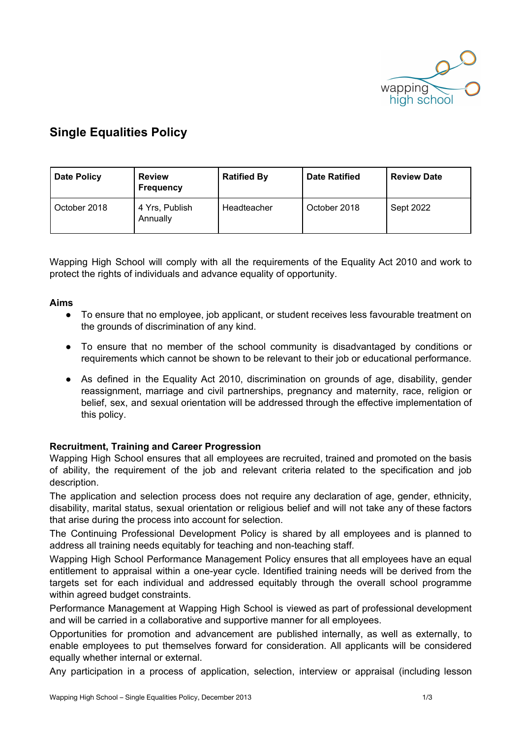

# **Single Equalities Policy**

| Date Policy  | <b>Review</b><br><b>Frequency</b> | <b>Ratified By</b> | <b>Date Ratified</b> | <b>Review Date</b> |
|--------------|-----------------------------------|--------------------|----------------------|--------------------|
| October 2018 | 4 Yrs, Publish<br>Annually        | Headteacher        | October 2018         | Sept 2022          |

Wapping High School will comply with all the requirements of the Equality Act 2010 and work to protect the rights of individuals and advance equality of opportunity.

# **Aims**

- To ensure that no employee, job applicant, or student receives less favourable treatment on the grounds of discrimination of any kind.
- To ensure that no member of the school community is disadvantaged by conditions or requirements which cannot be shown to be relevant to their job or educational performance.
- As defined in the Equality Act 2010, discrimination on grounds of age, disability, gender reassignment, marriage and civil partnerships, pregnancy and maternity, race, religion or belief, sex, and sexual orientation will be addressed through the effective implementation of this policy.

# **Recruitment, Training and Career Progression**

Wapping High School ensures that all employees are recruited, trained and promoted on the basis of ability, the requirement of the job and relevant criteria related to the specification and job description.

The application and selection process does not require any declaration of age, gender, ethnicity, disability, marital status, sexual orientation or religious belief and will not take any of these factors that arise during the process into account for selection.

The Continuing Professional Development Policy is shared by all employees and is planned to address all training needs equitably for teaching and non-teaching staff.

Wapping High School Performance Management Policy ensures that all employees have an equal entitlement to appraisal within a one-year cycle. Identified training needs will be derived from the targets set for each individual and addressed equitably through the overall school programme within agreed budget constraints.

Performance Management at Wapping High School is viewed as part of professional development and will be carried in a collaborative and supportive manner for all employees.

Opportunities for promotion and advancement are published internally, as well as externally, to enable employees to put themselves forward for consideration. All applicants will be considered equally whether internal or external.

Any participation in a process of application, selection, interview or appraisal (including lesson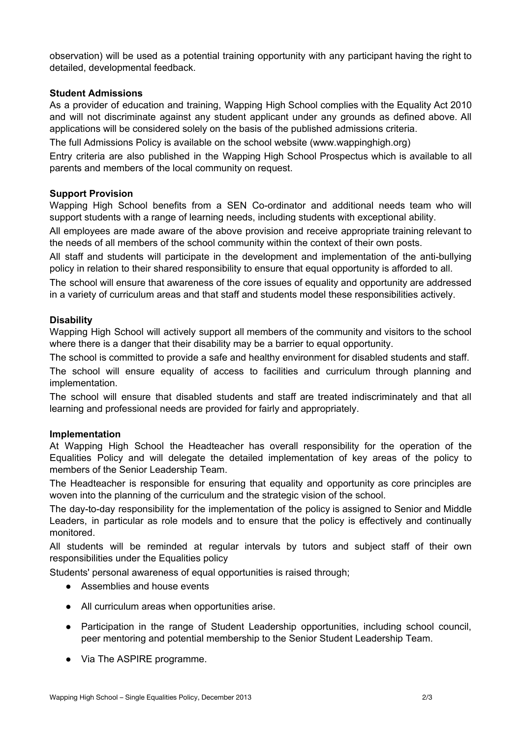observation) will be used as a potential training opportunity with any participant having the right to detailed, developmental feedback.

# **Student Admissions**

As a provider of education and training, Wapping High School complies with the Equality Act 2010 and will not discriminate against any student applicant under any grounds as defined above. All applications will be considered solely on the basis of the published admissions criteria.

The full Admissions Policy is available on the school website (www.wappinghigh.org)

Entry criteria are also published in the Wapping High School Prospectus which is available to all parents and members of the local community on request.

## **Support Provision**

Wapping High School benefits from a SEN Co-ordinator and additional needs team who will support students with a range of learning needs, including students with exceptional ability.

All employees are made aware of the above provision and receive appropriate training relevant to the needs of all members of the school community within the context of their own posts.

All staff and students will participate in the development and implementation of the anti-bullying policy in relation to their shared responsibility to ensure that equal opportunity is afforded to all.

The school will ensure that awareness of the core issues of equality and opportunity are addressed in a variety of curriculum areas and that staff and students model these responsibilities actively.

## **Disability**

Wapping High School will actively support all members of the community and visitors to the school where there is a danger that their disability may be a barrier to equal opportunity.

The school is committed to provide a safe and healthy environment for disabled students and staff.

The school will ensure equality of access to facilities and curriculum through planning and implementation.

The school will ensure that disabled students and staff are treated indiscriminately and that all learning and professional needs are provided for fairly and appropriately.

#### **Implementation**

At Wapping High School the Headteacher has overall responsibility for the operation of the Equalities Policy and will delegate the detailed implementation of key areas of the policy to members of the Senior Leadership Team.

The Headteacher is responsible for ensuring that equality and opportunity as core principles are woven into the planning of the curriculum and the strategic vision of the school.

The day-to-day responsibility for the implementation of the policy is assigned to Senior and Middle Leaders, in particular as role models and to ensure that the policy is effectively and continually monitored.

All students will be reminded at regular intervals by tutors and subject staff of their own responsibilities under the Equalities policy

Students' personal awareness of equal opportunities is raised through;

- Assemblies and house events
- All curriculum areas when opportunities arise.
- Participation in the range of Student Leadership opportunities, including school council, peer mentoring and potential membership to the Senior Student Leadership Team.
- Via The ASPIRE programme.